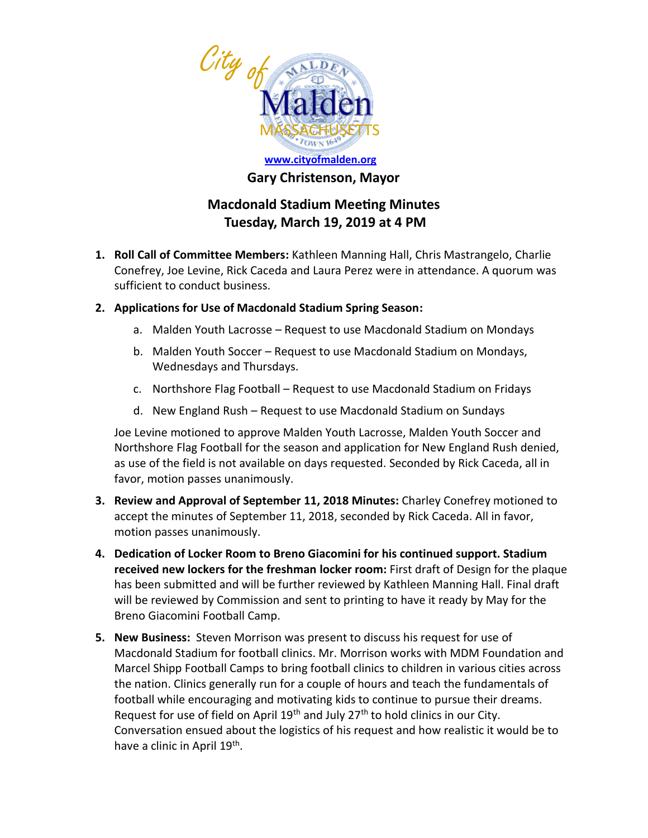

## **Gary Christenson, Mayor**

## **Macdonald Stadium Meeting Minutes Tuesday, March 19, 2019 at 4 PM**

- **1. Roll Call of Committee Members:** Kathleen Manning Hall, Chris Mastrangelo, Charlie Conefrey, Joe Levine, Rick Caceda and Laura Perez were in attendance. A quorum was sufficient to conduct business.
- **2. Applications for Use of Macdonald Stadium Spring Season:**
	- a. Malden Youth Lacrosse Request to use Macdonald Stadium on Mondays
	- b. Malden Youth Soccer Request to use Macdonald Stadium on Mondays, Wednesdays and Thursdays.
	- c. Northshore Flag Football Request to use Macdonald Stadium on Fridays
	- d. New England Rush Request to use Macdonald Stadium on Sundays

Joe Levine motioned to approve Malden Youth Lacrosse, Malden Youth Soccer and Northshore Flag Football for the season and application for New England Rush denied, as use of the field is not available on days requested. Seconded by Rick Caceda, all in favor, motion passes unanimously.

- **3. Review and Approval of September 11, 2018 Minutes:** Charley Conefrey motioned to accept the minutes of September 11, 2018, seconded by Rick Caceda. All in favor, motion passes unanimously.
- **4. Dedication of Locker Room to Breno Giacomini for his continued support. Stadium received new lockers for the freshman locker room:** First draft of Design for the plaque has been submitted and will be further reviewed by Kathleen Manning Hall. Final draft will be reviewed by Commission and sent to printing to have it ready by May for the Breno Giacomini Football Camp.
- **5. New Business:** Steven Morrison was present to discuss his request for use of Macdonald Stadium for football clinics. Mr. Morrison works with MDM Foundation and Marcel Shipp Football Camps to bring football clinics to children in various cities across the nation. Clinics generally run for a couple of hours and teach the fundamentals of football while encouraging and motivating kids to continue to pursue their dreams. Request for use of field on April  $19<sup>th</sup>$  and July  $27<sup>th</sup>$  to hold clinics in our City. Conversation ensued about the logistics of his request and how realistic it would be to have a clinic in April 19<sup>th</sup>.